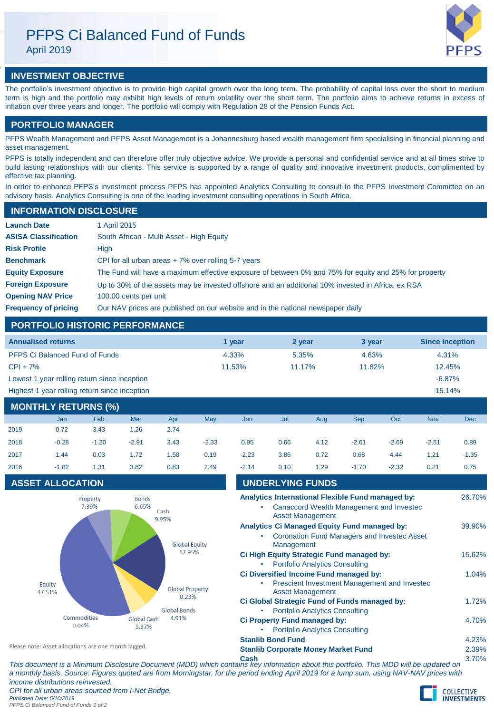# PFPS Ci Balanced Fund of Funds

April 2019



## **INVESTMENT OBJECTIVE**

The portfolio's investment objective is to provide high capital growth over the long term. The probability of capital loss over the short to medium term is high and the portfolio may exhibit high levels of return volatility over the short term. The portfolio aims to achieve returns in excess of inflation over three years and longer. The portfolio will comply with Regulation 28 of the Pension Funds Act.

## **PORTFOLIO MANAGER**

PFPS Wealth Management and PFPS Asset Management is a Johannesburg based wealth management firm specialising in financial planning and asset management.

PFPS is totally independent and can therefore offer truly objective advice. We provide a personal and confidential service and at all times strive to build lasting relationships with our clients. This service is supported by a range of quality and innovative investment products, complimented by effective tax planning.

In order to enhance PFPS's investment process PFPS has appointed Analytics Consulting to consult to the PFPS Investment Committee on an advisory basis. Analytics Consulting is one of the leading investment consulting operations in South Africa.

## **INFORMATION DISCLOSURE**

| <b>Launch Date</b>          | 1 April 2015                                                                                          |
|-----------------------------|-------------------------------------------------------------------------------------------------------|
| <b>ASISA Classification</b> | South African - Multi Asset - High Equity                                                             |
| <b>Risk Profile</b>         | High                                                                                                  |
| <b>Benchmark</b>            | CPI for all urban areas $+7\%$ over rolling 5-7 years                                                 |
| <b>Equity Exposure</b>      | The Fund will have a maximum effective exposure of between 0% and 75% for equity and 25% for property |
| <b>Foreign Exposure</b>     | Up to 30% of the assets may be invested offshore and an additional 10% invested in Africa, ex RSA     |
| <b>Opening NAV Price</b>    | 100.00 cents per unit                                                                                 |
| <b>Frequency of pricing</b> | Our NAV prices are published on our website and in the national newspaper daily                       |

## **PORTFOLIO HISTORIC PERFORMANCE**

| <b>Annualised returns</b>                     | 1 vear | 2 year | 3 year | <b>Since Inception</b> |
|-----------------------------------------------|--------|--------|--------|------------------------|
| <b>PFPS Ci Balanced Fund of Funds</b>         | 4.33%  | 5.35%  | 4.63%  | 4.31%                  |
| $CPI + 7%$                                    | 11.53% | 11.17% | 11.82% | 12.45%                 |
| Lowest 1 year rolling return since inception  |        |        |        | $-6.87%$               |
| Highest 1 year rolling return since inception |        |        |        | 15.14%                 |

## **MONTHLY RETURNS (%)**

|      | Jan     | Feb     | Mar     | Apr  | May     |
|------|---------|---------|---------|------|---------|
| 2019 | 0.72    | 3.43    | 1.26    | 2.74 |         |
| 2018 | $-0.28$ | $-1.20$ | $-2.91$ | 3.43 | $-2.33$ |
| 2017 | 1.44    | 0.03    | 1.72    | 1.58 | 0.19    |
| 2016 | $-1.82$ | 1.31    | 3.82    | 0.83 | 2.49    |
|      |         |         |         |      |         |

## **ASSET ALLOCATION**



| <b>MONTHLY RETURNS (%)</b> |            |         |            |      |                  |         |      |      |            |         |            |            |
|----------------------------|------------|---------|------------|------|------------------|---------|------|------|------------|---------|------------|------------|
|                            | <b>Jan</b> | Feb     | <b>Mar</b> | Apr  | May              | Jun     | Jul  | Aug  | <b>Sep</b> | Oct     | <b>Nov</b> | <b>Dec</b> |
| 2019                       | 0.72       | 3.43    | 1.26       | 2.74 |                  |         |      |      |            |         |            |            |
| 2018                       | $-0.28$    | $-1.20$ | $-2.91$    | 3.43 | $-2.33$          | 0.95    | 0.66 | 4.12 | $-2.61$    | $-2.69$ | $-2.51$    | 0.89       |
| 2017                       | 1.44       | 0.03    | 1.72       | 1.58 | 0.19             | $-2.23$ | 3.86 | 0.72 | 0.68       | 4.44    | 1.21       | $-1.35$    |
| 2016                       | $-1.82$    | 1.31    | 3.82       | 0.83 | 2.49             | $-2.14$ | 0.10 | 1.29 | $-1.70$    | $-2.32$ | 0.21       | 0.75       |
| <b>ASSET ALLOCATION</b>    |            |         |            |      | UNDERLYING FUNDS |         |      |      |            |         |            |            |

| Analytics International Flexible Fund managed by:<br>Canaccord Wealth Management and Invested<br><b>Asset Management</b> | 26.70% |
|--------------------------------------------------------------------------------------------------------------------------|--------|
| <b>Analytics Ci Managed Equity Fund managed by:</b>                                                                      | 39.90% |
| <b>Coronation Fund Managers and Investec Asset</b><br>٠<br>Management                                                    |        |
| Ci High Equity Strategic Fund managed by:                                                                                | 15.62% |
| <b>Portfolio Analytics Consulting</b>                                                                                    |        |
| Ci Diversified Income Fund managed by:                                                                                   | 1.04%  |
| <b>Prescient Investment Management and Invested</b><br>۰<br><b>Asset Management</b>                                      |        |
| Ci Global Strategic Fund of Funds managed by:                                                                            | 1.72%  |
| <b>Portfolio Analytics Consulting</b><br>٠                                                                               |        |
| Ci Property Fund managed by:                                                                                             | 4.70%  |
| <b>Portfolio Analytics Consulting</b>                                                                                    |        |
| <b>Stanlib Bond Fund</b>                                                                                                 | 4.23%  |
| <b>Stanlib Corporate Money Market Fund</b>                                                                               | 2.39%  |

Please note: Asset allocations are one month lagged.

**Cash** 3.70% *This document is a Minimum Disclosure Document (MDD) which contains key information about this portfolio. This MDD will be updated on a monthly basis. Source: Figures quoted are from Morningstar, for the period ending April 2019 for a lump sum, using NAV-NAV prices with income distributions reinvested. CPI for all urban areas sourced from I-Net Bridge. Published Date: 5/10/2019 PFPS Ci Balanced Fund of Funds 1 of 2*